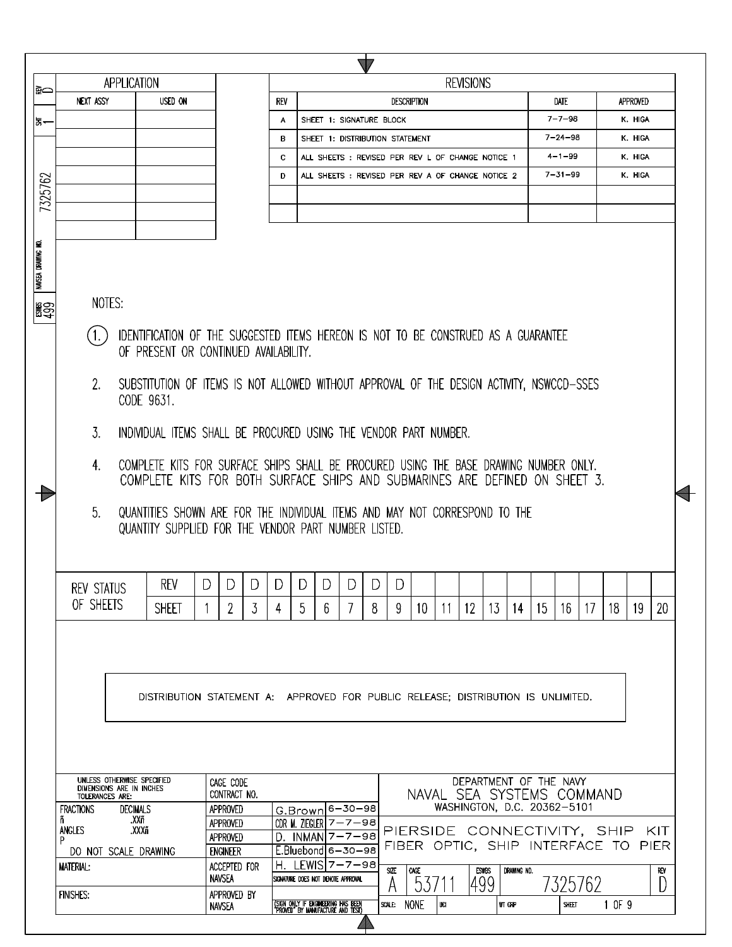| <b>REVISIONS</b><br>APPLICATION<br>l≨⇔<br>USED ON<br>NEXT ASSY<br>REV<br><b>DESCRIPTION</b><br>Date<br><b>APPROVED</b><br>$7 - 7 - 98$<br>K. HIGA<br>SHEET 1: SIGNATURE BLOCK<br>А<br>통~<br>$7 - 24 - 98$<br>K. HIGA<br>SHEET 1: DISTRIBUTION STATEMENT<br>в<br>$4 - 1 - 99$<br>K. HIGA<br>c<br>ALL SHEETS: REVISED PER REV L OF CHANGE NOTICE 1<br>$7 - 31 - 99$<br>K. HIGA<br>D<br>ALL SHEETS: REVISED PER REV A OF CHANGE NOTICE 2<br>7325762<br>NAVSEA DRAWING NO.<br>NOTES:<br>閣会<br>IDENTIFICATION OF THE SUGGESTED ITEMS HEREON IS NOT TO BE CONSTRUED AS A GUARANTEE<br>OF PRESENT OR CONTINUED AVAILABILITY.<br>SUBSTITUTION OF ITEMS IS NOT ALLOWED WITHOUT APPROVAL OF THE DESIGN ACTIVITY, NSWCCD-SSES<br>2.<br>CODE 9631.<br>3.<br>INDIVIDUAL ITEMS SHALL BE PROCURED USING THE VENDOR PART NUMBER.<br>COMPLETE KITS FOR SURFACE SHIPS SHALL BE PROCURED USING THE BASE DRAWING NUMBER ONLY.<br>4.<br>COMPLETE KITS FOR BOTH SURFACE SHIPS AND SUBMARINES ARE DEFINED ON SHEET 3.<br>5 <sub>1</sub><br>QUANTITIES SHOWN ARE FOR THE INDIVIDUAL ITEMS AND MAY NOT CORRESPOND TO THE<br>QUANTITY SUPPLIED FOR THE VENDOR PART NUMBER LISTED.<br>REV<br>D<br>D.<br>DIDI<br>DID<br><sup>D</sup><br>D.<br>D.<br>REV STATUS<br>OF SHEETS<br><b>SHEET</b><br>2<br>5<br>7<br>15 <sup>2</sup><br>20<br>3<br>6<br>8<br>9<br>10<br>12<br>13<br>16<br>17<br>18<br>19<br>14<br>11<br>4<br>DISTRIBUTION STATEMENT A: APPROVED FOR PUBLIC RELEASE: DISTRIBUTION IS UNLIMITED.<br>UNLESS OTHERWISE SPECIFIED<br>DEPARTMENT OF THE NAVY<br>CAGE CODE<br>DIMENSIONS ARE IN INCHES<br>CONTRACT NO.<br>NAVAL SEA SYSTEMS COMMAND<br>TOLERANCES ARE:<br>WASHINGTON, D.C. 20362-5101<br>G.Brown 6-30-98<br><b>FRACTIONS</b><br>APPROVED<br><b>DECIMALS</b><br>.XXñ<br>ñ<br>CDR M. ZIEGLER $7 - 7 - 98$<br>APPROVED<br>ANGLES<br>.XXXñ<br>PIERSIDE CONNECTIVITY, SHIP<br>- KIT<br>$D.$ INMAN $7 - 7 - 98$<br><b>APPROVED</b><br>P<br>FIBER OPTIC, SHIP INTERFACE TO PIER<br><b>ENGINEER</b><br>$E.Bluebond 6-30-98$<br>DO NOT SCALE DRAWING<br>H. LEWIS 7-7-98<br>ACCEPTED FOR<br><b>MATERIAL:</b><br>SIZE<br>CAGE.<br><b>ESWBS</b><br>DRAWING NO.<br>RFV<br><b>NAVSEA</b><br>SIGNATURE DOES NOT DENOTE APPROVAL<br>7325762<br> 499<br>5371<br>D<br><b>FINISHES:</b><br>APPROVED BY<br>1 OF 9<br>(SIGN ONLY IF ENGINEERING HAS BEEN<br>"PROVED" BY MANUFACTURE AND TEST)<br>SCALE: NONE<br>WT CRP<br>UCI<br>SHEET |  |               |  | $\sqrt{1}$ |  |  |  |  |  |  |  |
|---------------------------------------------------------------------------------------------------------------------------------------------------------------------------------------------------------------------------------------------------------------------------------------------------------------------------------------------------------------------------------------------------------------------------------------------------------------------------------------------------------------------------------------------------------------------------------------------------------------------------------------------------------------------------------------------------------------------------------------------------------------------------------------------------------------------------------------------------------------------------------------------------------------------------------------------------------------------------------------------------------------------------------------------------------------------------------------------------------------------------------------------------------------------------------------------------------------------------------------------------------------------------------------------------------------------------------------------------------------------------------------------------------------------------------------------------------------------------------------------------------------------------------------------------------------------------------------------------------------------------------------------------------------------------------------------------------------------------------------------------------------------------------------------------------------------------------------------------------------------------------------------------------------------------------------------------------------------------------------------------------------------------------------------------------------------------------------------------------------------------------------------------------------------------------------------------------------------------------------------------------------------------------------------------------------------------------------------------------------------------------------------------------|--|---------------|--|------------|--|--|--|--|--|--|--|
|                                                                                                                                                                                                                                                                                                                                                                                                                                                                                                                                                                                                                                                                                                                                                                                                                                                                                                                                                                                                                                                                                                                                                                                                                                                                                                                                                                                                                                                                                                                                                                                                                                                                                                                                                                                                                                                                                                                                                                                                                                                                                                                                                                                                                                                                                                                                                                                                         |  |               |  |            |  |  |  |  |  |  |  |
|                                                                                                                                                                                                                                                                                                                                                                                                                                                                                                                                                                                                                                                                                                                                                                                                                                                                                                                                                                                                                                                                                                                                                                                                                                                                                                                                                                                                                                                                                                                                                                                                                                                                                                                                                                                                                                                                                                                                                                                                                                                                                                                                                                                                                                                                                                                                                                                                         |  |               |  |            |  |  |  |  |  |  |  |
|                                                                                                                                                                                                                                                                                                                                                                                                                                                                                                                                                                                                                                                                                                                                                                                                                                                                                                                                                                                                                                                                                                                                                                                                                                                                                                                                                                                                                                                                                                                                                                                                                                                                                                                                                                                                                                                                                                                                                                                                                                                                                                                                                                                                                                                                                                                                                                                                         |  |               |  |            |  |  |  |  |  |  |  |
|                                                                                                                                                                                                                                                                                                                                                                                                                                                                                                                                                                                                                                                                                                                                                                                                                                                                                                                                                                                                                                                                                                                                                                                                                                                                                                                                                                                                                                                                                                                                                                                                                                                                                                                                                                                                                                                                                                                                                                                                                                                                                                                                                                                                                                                                                                                                                                                                         |  |               |  |            |  |  |  |  |  |  |  |
|                                                                                                                                                                                                                                                                                                                                                                                                                                                                                                                                                                                                                                                                                                                                                                                                                                                                                                                                                                                                                                                                                                                                                                                                                                                                                                                                                                                                                                                                                                                                                                                                                                                                                                                                                                                                                                                                                                                                                                                                                                                                                                                                                                                                                                                                                                                                                                                                         |  |               |  |            |  |  |  |  |  |  |  |
|                                                                                                                                                                                                                                                                                                                                                                                                                                                                                                                                                                                                                                                                                                                                                                                                                                                                                                                                                                                                                                                                                                                                                                                                                                                                                                                                                                                                                                                                                                                                                                                                                                                                                                                                                                                                                                                                                                                                                                                                                                                                                                                                                                                                                                                                                                                                                                                                         |  |               |  |            |  |  |  |  |  |  |  |
|                                                                                                                                                                                                                                                                                                                                                                                                                                                                                                                                                                                                                                                                                                                                                                                                                                                                                                                                                                                                                                                                                                                                                                                                                                                                                                                                                                                                                                                                                                                                                                                                                                                                                                                                                                                                                                                                                                                                                                                                                                                                                                                                                                                                                                                                                                                                                                                                         |  |               |  |            |  |  |  |  |  |  |  |
|                                                                                                                                                                                                                                                                                                                                                                                                                                                                                                                                                                                                                                                                                                                                                                                                                                                                                                                                                                                                                                                                                                                                                                                                                                                                                                                                                                                                                                                                                                                                                                                                                                                                                                                                                                                                                                                                                                                                                                                                                                                                                                                                                                                                                                                                                                                                                                                                         |  |               |  |            |  |  |  |  |  |  |  |
|                                                                                                                                                                                                                                                                                                                                                                                                                                                                                                                                                                                                                                                                                                                                                                                                                                                                                                                                                                                                                                                                                                                                                                                                                                                                                                                                                                                                                                                                                                                                                                                                                                                                                                                                                                                                                                                                                                                                                                                                                                                                                                                                                                                                                                                                                                                                                                                                         |  |               |  |            |  |  |  |  |  |  |  |
|                                                                                                                                                                                                                                                                                                                                                                                                                                                                                                                                                                                                                                                                                                                                                                                                                                                                                                                                                                                                                                                                                                                                                                                                                                                                                                                                                                                                                                                                                                                                                                                                                                                                                                                                                                                                                                                                                                                                                                                                                                                                                                                                                                                                                                                                                                                                                                                                         |  |               |  |            |  |  |  |  |  |  |  |
|                                                                                                                                                                                                                                                                                                                                                                                                                                                                                                                                                                                                                                                                                                                                                                                                                                                                                                                                                                                                                                                                                                                                                                                                                                                                                                                                                                                                                                                                                                                                                                                                                                                                                                                                                                                                                                                                                                                                                                                                                                                                                                                                                                                                                                                                                                                                                                                                         |  |               |  |            |  |  |  |  |  |  |  |
|                                                                                                                                                                                                                                                                                                                                                                                                                                                                                                                                                                                                                                                                                                                                                                                                                                                                                                                                                                                                                                                                                                                                                                                                                                                                                                                                                                                                                                                                                                                                                                                                                                                                                                                                                                                                                                                                                                                                                                                                                                                                                                                                                                                                                                                                                                                                                                                                         |  |               |  |            |  |  |  |  |  |  |  |
|                                                                                                                                                                                                                                                                                                                                                                                                                                                                                                                                                                                                                                                                                                                                                                                                                                                                                                                                                                                                                                                                                                                                                                                                                                                                                                                                                                                                                                                                                                                                                                                                                                                                                                                                                                                                                                                                                                                                                                                                                                                                                                                                                                                                                                                                                                                                                                                                         |  |               |  |            |  |  |  |  |  |  |  |
|                                                                                                                                                                                                                                                                                                                                                                                                                                                                                                                                                                                                                                                                                                                                                                                                                                                                                                                                                                                                                                                                                                                                                                                                                                                                                                                                                                                                                                                                                                                                                                                                                                                                                                                                                                                                                                                                                                                                                                                                                                                                                                                                                                                                                                                                                                                                                                                                         |  |               |  |            |  |  |  |  |  |  |  |
|                                                                                                                                                                                                                                                                                                                                                                                                                                                                                                                                                                                                                                                                                                                                                                                                                                                                                                                                                                                                                                                                                                                                                                                                                                                                                                                                                                                                                                                                                                                                                                                                                                                                                                                                                                                                                                                                                                                                                                                                                                                                                                                                                                                                                                                                                                                                                                                                         |  |               |  |            |  |  |  |  |  |  |  |
|                                                                                                                                                                                                                                                                                                                                                                                                                                                                                                                                                                                                                                                                                                                                                                                                                                                                                                                                                                                                                                                                                                                                                                                                                                                                                                                                                                                                                                                                                                                                                                                                                                                                                                                                                                                                                                                                                                                                                                                                                                                                                                                                                                                                                                                                                                                                                                                                         |  |               |  |            |  |  |  |  |  |  |  |
|                                                                                                                                                                                                                                                                                                                                                                                                                                                                                                                                                                                                                                                                                                                                                                                                                                                                                                                                                                                                                                                                                                                                                                                                                                                                                                                                                                                                                                                                                                                                                                                                                                                                                                                                                                                                                                                                                                                                                                                                                                                                                                                                                                                                                                                                                                                                                                                                         |  |               |  |            |  |  |  |  |  |  |  |
|                                                                                                                                                                                                                                                                                                                                                                                                                                                                                                                                                                                                                                                                                                                                                                                                                                                                                                                                                                                                                                                                                                                                                                                                                                                                                                                                                                                                                                                                                                                                                                                                                                                                                                                                                                                                                                                                                                                                                                                                                                                                                                                                                                                                                                                                                                                                                                                                         |  |               |  |            |  |  |  |  |  |  |  |
|                                                                                                                                                                                                                                                                                                                                                                                                                                                                                                                                                                                                                                                                                                                                                                                                                                                                                                                                                                                                                                                                                                                                                                                                                                                                                                                                                                                                                                                                                                                                                                                                                                                                                                                                                                                                                                                                                                                                                                                                                                                                                                                                                                                                                                                                                                                                                                                                         |  |               |  |            |  |  |  |  |  |  |  |
|                                                                                                                                                                                                                                                                                                                                                                                                                                                                                                                                                                                                                                                                                                                                                                                                                                                                                                                                                                                                                                                                                                                                                                                                                                                                                                                                                                                                                                                                                                                                                                                                                                                                                                                                                                                                                                                                                                                                                                                                                                                                                                                                                                                                                                                                                                                                                                                                         |  |               |  |            |  |  |  |  |  |  |  |
|                                                                                                                                                                                                                                                                                                                                                                                                                                                                                                                                                                                                                                                                                                                                                                                                                                                                                                                                                                                                                                                                                                                                                                                                                                                                                                                                                                                                                                                                                                                                                                                                                                                                                                                                                                                                                                                                                                                                                                                                                                                                                                                                                                                                                                                                                                                                                                                                         |  |               |  |            |  |  |  |  |  |  |  |
|                                                                                                                                                                                                                                                                                                                                                                                                                                                                                                                                                                                                                                                                                                                                                                                                                                                                                                                                                                                                                                                                                                                                                                                                                                                                                                                                                                                                                                                                                                                                                                                                                                                                                                                                                                                                                                                                                                                                                                                                                                                                                                                                                                                                                                                                                                                                                                                                         |  |               |  |            |  |  |  |  |  |  |  |
|                                                                                                                                                                                                                                                                                                                                                                                                                                                                                                                                                                                                                                                                                                                                                                                                                                                                                                                                                                                                                                                                                                                                                                                                                                                                                                                                                                                                                                                                                                                                                                                                                                                                                                                                                                                                                                                                                                                                                                                                                                                                                                                                                                                                                                                                                                                                                                                                         |  |               |  |            |  |  |  |  |  |  |  |
|                                                                                                                                                                                                                                                                                                                                                                                                                                                                                                                                                                                                                                                                                                                                                                                                                                                                                                                                                                                                                                                                                                                                                                                                                                                                                                                                                                                                                                                                                                                                                                                                                                                                                                                                                                                                                                                                                                                                                                                                                                                                                                                                                                                                                                                                                                                                                                                                         |  |               |  |            |  |  |  |  |  |  |  |
|                                                                                                                                                                                                                                                                                                                                                                                                                                                                                                                                                                                                                                                                                                                                                                                                                                                                                                                                                                                                                                                                                                                                                                                                                                                                                                                                                                                                                                                                                                                                                                                                                                                                                                                                                                                                                                                                                                                                                                                                                                                                                                                                                                                                                                                                                                                                                                                                         |  |               |  |            |  |  |  |  |  |  |  |
|                                                                                                                                                                                                                                                                                                                                                                                                                                                                                                                                                                                                                                                                                                                                                                                                                                                                                                                                                                                                                                                                                                                                                                                                                                                                                                                                                                                                                                                                                                                                                                                                                                                                                                                                                                                                                                                                                                                                                                                                                                                                                                                                                                                                                                                                                                                                                                                                         |  |               |  |            |  |  |  |  |  |  |  |
|                                                                                                                                                                                                                                                                                                                                                                                                                                                                                                                                                                                                                                                                                                                                                                                                                                                                                                                                                                                                                                                                                                                                                                                                                                                                                                                                                                                                                                                                                                                                                                                                                                                                                                                                                                                                                                                                                                                                                                                                                                                                                                                                                                                                                                                                                                                                                                                                         |  |               |  |            |  |  |  |  |  |  |  |
|                                                                                                                                                                                                                                                                                                                                                                                                                                                                                                                                                                                                                                                                                                                                                                                                                                                                                                                                                                                                                                                                                                                                                                                                                                                                                                                                                                                                                                                                                                                                                                                                                                                                                                                                                                                                                                                                                                                                                                                                                                                                                                                                                                                                                                                                                                                                                                                                         |  |               |  |            |  |  |  |  |  |  |  |
|                                                                                                                                                                                                                                                                                                                                                                                                                                                                                                                                                                                                                                                                                                                                                                                                                                                                                                                                                                                                                                                                                                                                                                                                                                                                                                                                                                                                                                                                                                                                                                                                                                                                                                                                                                                                                                                                                                                                                                                                                                                                                                                                                                                                                                                                                                                                                                                                         |  |               |  |            |  |  |  |  |  |  |  |
|                                                                                                                                                                                                                                                                                                                                                                                                                                                                                                                                                                                                                                                                                                                                                                                                                                                                                                                                                                                                                                                                                                                                                                                                                                                                                                                                                                                                                                                                                                                                                                                                                                                                                                                                                                                                                                                                                                                                                                                                                                                                                                                                                                                                                                                                                                                                                                                                         |  |               |  |            |  |  |  |  |  |  |  |
|                                                                                                                                                                                                                                                                                                                                                                                                                                                                                                                                                                                                                                                                                                                                                                                                                                                                                                                                                                                                                                                                                                                                                                                                                                                                                                                                                                                                                                                                                                                                                                                                                                                                                                                                                                                                                                                                                                                                                                                                                                                                                                                                                                                                                                                                                                                                                                                                         |  |               |  |            |  |  |  |  |  |  |  |
|                                                                                                                                                                                                                                                                                                                                                                                                                                                                                                                                                                                                                                                                                                                                                                                                                                                                                                                                                                                                                                                                                                                                                                                                                                                                                                                                                                                                                                                                                                                                                                                                                                                                                                                                                                                                                                                                                                                                                                                                                                                                                                                                                                                                                                                                                                                                                                                                         |  |               |  |            |  |  |  |  |  |  |  |
|                                                                                                                                                                                                                                                                                                                                                                                                                                                                                                                                                                                                                                                                                                                                                                                                                                                                                                                                                                                                                                                                                                                                                                                                                                                                                                                                                                                                                                                                                                                                                                                                                                                                                                                                                                                                                                                                                                                                                                                                                                                                                                                                                                                                                                                                                                                                                                                                         |  |               |  |            |  |  |  |  |  |  |  |
|                                                                                                                                                                                                                                                                                                                                                                                                                                                                                                                                                                                                                                                                                                                                                                                                                                                                                                                                                                                                                                                                                                                                                                                                                                                                                                                                                                                                                                                                                                                                                                                                                                                                                                                                                                                                                                                                                                                                                                                                                                                                                                                                                                                                                                                                                                                                                                                                         |  |               |  |            |  |  |  |  |  |  |  |
|                                                                                                                                                                                                                                                                                                                                                                                                                                                                                                                                                                                                                                                                                                                                                                                                                                                                                                                                                                                                                                                                                                                                                                                                                                                                                                                                                                                                                                                                                                                                                                                                                                                                                                                                                                                                                                                                                                                                                                                                                                                                                                                                                                                                                                                                                                                                                                                                         |  |               |  |            |  |  |  |  |  |  |  |
|                                                                                                                                                                                                                                                                                                                                                                                                                                                                                                                                                                                                                                                                                                                                                                                                                                                                                                                                                                                                                                                                                                                                                                                                                                                                                                                                                                                                                                                                                                                                                                                                                                                                                                                                                                                                                                                                                                                                                                                                                                                                                                                                                                                                                                                                                                                                                                                                         |  |               |  |            |  |  |  |  |  |  |  |
|                                                                                                                                                                                                                                                                                                                                                                                                                                                                                                                                                                                                                                                                                                                                                                                                                                                                                                                                                                                                                                                                                                                                                                                                                                                                                                                                                                                                                                                                                                                                                                                                                                                                                                                                                                                                                                                                                                                                                                                                                                                                                                                                                                                                                                                                                                                                                                                                         |  |               |  |            |  |  |  |  |  |  |  |
|                                                                                                                                                                                                                                                                                                                                                                                                                                                                                                                                                                                                                                                                                                                                                                                                                                                                                                                                                                                                                                                                                                                                                                                                                                                                                                                                                                                                                                                                                                                                                                                                                                                                                                                                                                                                                                                                                                                                                                                                                                                                                                                                                                                                                                                                                                                                                                                                         |  |               |  |            |  |  |  |  |  |  |  |
|                                                                                                                                                                                                                                                                                                                                                                                                                                                                                                                                                                                                                                                                                                                                                                                                                                                                                                                                                                                                                                                                                                                                                                                                                                                                                                                                                                                                                                                                                                                                                                                                                                                                                                                                                                                                                                                                                                                                                                                                                                                                                                                                                                                                                                                                                                                                                                                                         |  |               |  |            |  |  |  |  |  |  |  |
|                                                                                                                                                                                                                                                                                                                                                                                                                                                                                                                                                                                                                                                                                                                                                                                                                                                                                                                                                                                                                                                                                                                                                                                                                                                                                                                                                                                                                                                                                                                                                                                                                                                                                                                                                                                                                                                                                                                                                                                                                                                                                                                                                                                                                                                                                                                                                                                                         |  |               |  |            |  |  |  |  |  |  |  |
|                                                                                                                                                                                                                                                                                                                                                                                                                                                                                                                                                                                                                                                                                                                                                                                                                                                                                                                                                                                                                                                                                                                                                                                                                                                                                                                                                                                                                                                                                                                                                                                                                                                                                                                                                                                                                                                                                                                                                                                                                                                                                                                                                                                                                                                                                                                                                                                                         |  |               |  |            |  |  |  |  |  |  |  |
|                                                                                                                                                                                                                                                                                                                                                                                                                                                                                                                                                                                                                                                                                                                                                                                                                                                                                                                                                                                                                                                                                                                                                                                                                                                                                                                                                                                                                                                                                                                                                                                                                                                                                                                                                                                                                                                                                                                                                                                                                                                                                                                                                                                                                                                                                                                                                                                                         |  | <b>NAVSEA</b> |  |            |  |  |  |  |  |  |  |

 $\sqrt{2}$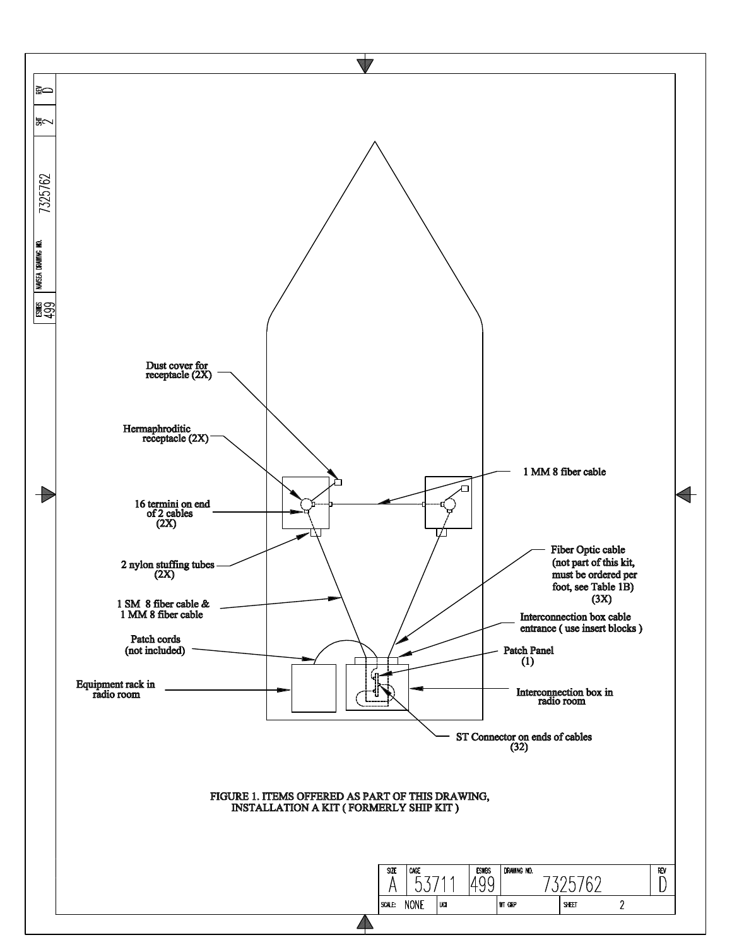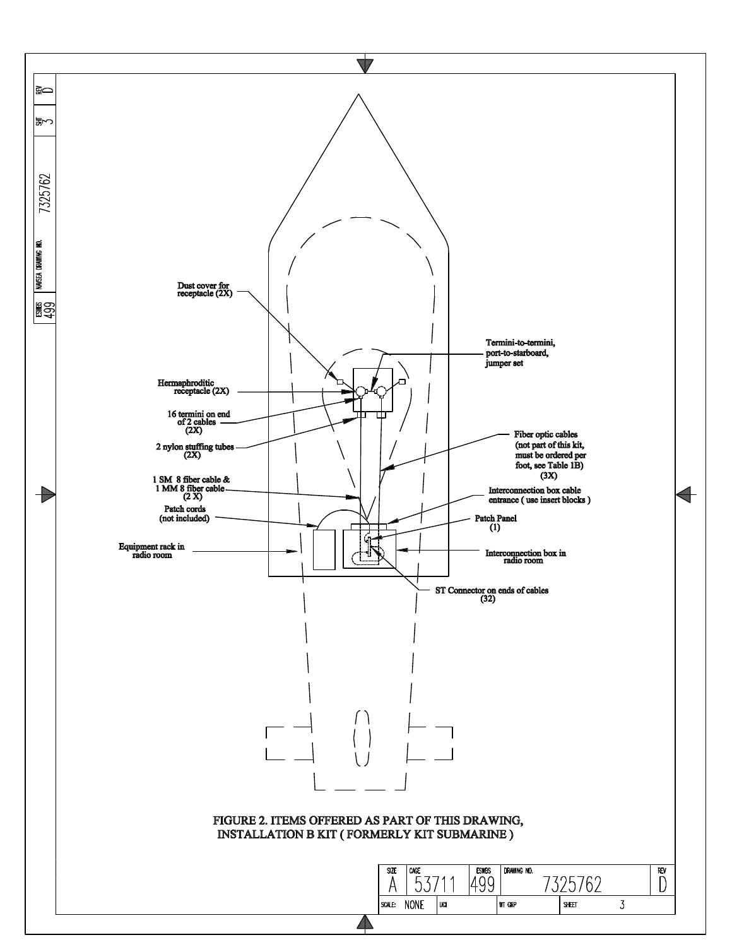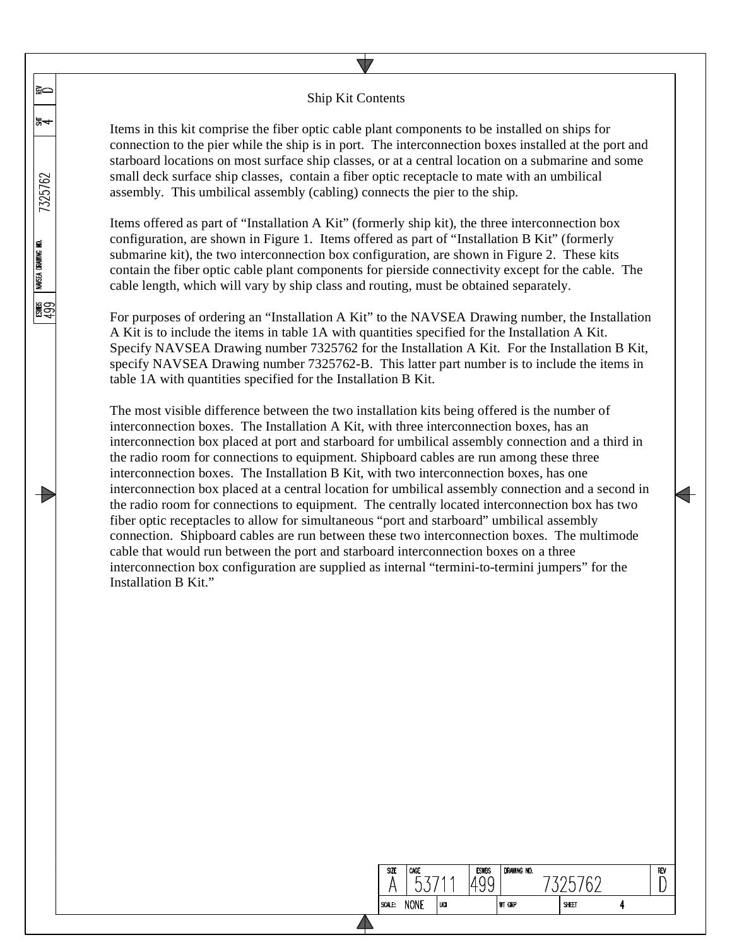## Ship Kit Contents

≩⇔

ኤ≁

7325762

NAVSEA DRAWING NO.

图<br>图

T

Items in this kit comprise the fiber optic cable plant components to be installed on ships for connection to the pier while the ship is in port. The interconnection boxes installed at the port and starboard locations on most surface ship classes, or at a central location on a submarine and some small deck surface ship classes, contain a fiber optic receptacle to mate with an umbilical assembly. This umbilical assembly (cabling) connects the pier to the ship.

Items offered as part of "Installation A Kit" (formerly ship kit), the three interconnection box configuration, are shown in Figure 1. Items offered as part of "Installation B Kit" (formerly submarine kit), the two interconnection box configuration, are shown in Figure 2. These kits contain the fiber optic cable plant components for pierside connectivity except for the cable. The cable length, which will vary by ship class and routing, must be obtained separately.

For purposes of ordering an "Installation A Kit" to the NAVSEA Drawing number, the Installation A Kit is to include the items in table 1A with quantities specified for the Installation A Kit. Specify NAVSEA Drawing number 7325762 for the Installation A Kit. For the Installation B Kit, specify NAVSEA Drawing number 7325762-B. This latter part number is to include the items in table 1A with quantities specified for the Installation B Kit.

The most visible difference between the two installation kits being offered is the number of interconnection boxes. The Installation A Kit, with three interconnection boxes, has an interconnection box placed at port and starboard for umbilical assembly connection and a third in the radio room for connections to equipment. Shipboard cables are run among these three interconnection boxes. The Installation B Kit, with two interconnection boxes, has one interconnection box placed at a central location for umbilical assembly connection and a second in the radio room for connections to equipment. The centrally located interconnection box has two fiber optic receptacles to allow for simultaneous "port and starboard" umbilical assembly connection. Shipboard cables are run between these two interconnection boxes. The multimode cable that would run between the port and starboard interconnection boxes on a three interconnection box configuration are supplied as internal "termini-to-termini jumpers" for the Installation B Kit."

| IZE | CAGE        |     | <b>ESWBS</b> | DRAWING NO.   |       |  |
|-----|-------------|-----|--------------|---------------|-------|--|
| Ŀ.  | <b>NONE</b> | UCI |              | <b>WT GRP</b> | SHEET |  |
|     |             |     |              |               |       |  |

REV D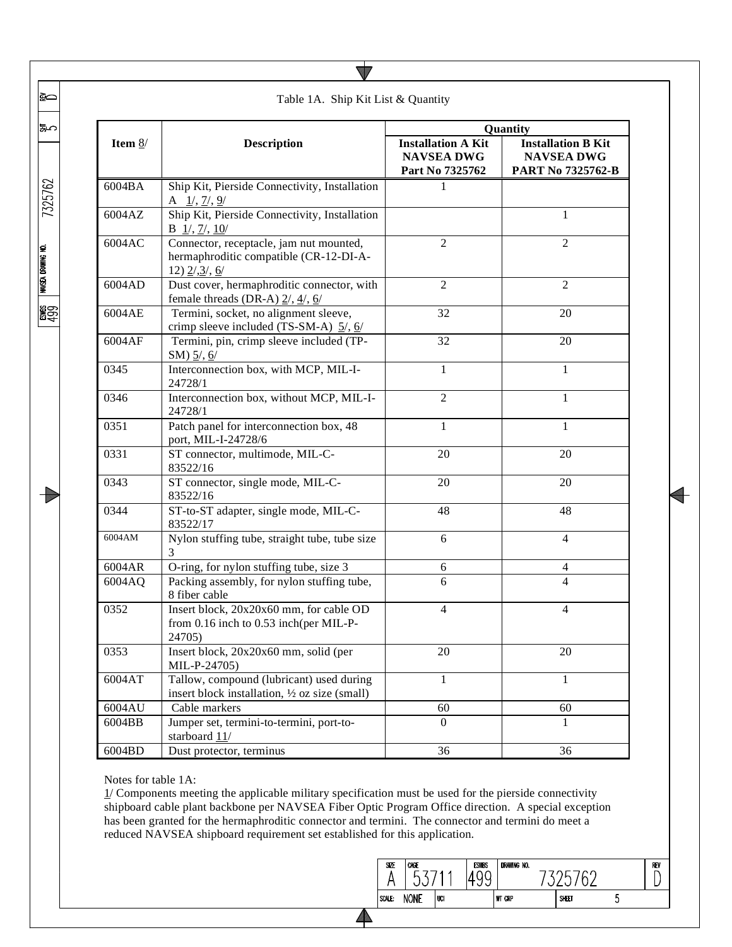|           |                                                                                                        |                                                                   | Quantity                                                            |  |
|-----------|--------------------------------------------------------------------------------------------------------|-------------------------------------------------------------------|---------------------------------------------------------------------|--|
| Item $8/$ | <b>Description</b>                                                                                     | <b>Installation A Kit</b><br><b>NAVSEA DWG</b><br>Part No 7325762 | <b>Installation B Kit</b><br><b>NAVSEA DWG</b><br>PART No 7325762-B |  |
| 6004BA    | Ship Kit, Pierside Connectivity, Installation<br>A $1/$ , $7/$ , $9/$                                  | 1                                                                 |                                                                     |  |
| 6004AZ    | Ship Kit, Pierside Connectivity, Installation<br>$B \ 1/7, 7/710$                                      |                                                                   | 1                                                                   |  |
| 6004AC    | Connector, receptacle, jam nut mounted,<br>hermaphroditic compatible (CR-12-DI-A-<br>$12)$ $2/3/6$     | $\mathfrak{2}$                                                    | $\overline{c}$                                                      |  |
| 6004AD    | Dust cover, hermaphroditic connector, with<br>female threads (DR-A) $2/$ , $4/$ , $6/$                 | $\mathfrak{2}$                                                    | $\overline{c}$                                                      |  |
| 6004AE    | Termini, socket, no alignment sleeve,<br>crimp sleeve included (TS-SM-A) $\frac{5}{2}$ , $\frac{6}{2}$ | 32                                                                | 20                                                                  |  |
| 6004AF    | Termini, pin, crimp sleeve included (TP-<br>SM) $\frac{5}{7}$ , $\frac{6}{7}$                          | 32                                                                | 20                                                                  |  |
| 0345      | Interconnection box, with MCP, MIL-I-<br>24728/1                                                       | $\mathbf{1}$                                                      | $\mathbf{1}$                                                        |  |
| 0346      | Interconnection box, without MCP, MIL-I-<br>24728/1                                                    | $\overline{2}$                                                    | 1                                                                   |  |
| 0351      | Patch panel for interconnection box, 48<br>port, MIL-I-24728/6                                         | $\mathbf{1}$                                                      | $\mathbf{1}$                                                        |  |
| 0331      | ST connector, multimode, MIL-C-<br>83522/16                                                            | 20                                                                | 20                                                                  |  |
| 0343      | ST connector, single mode, MIL-C-<br>83522/16                                                          | 20                                                                | 20                                                                  |  |
| 0344      | ST-to-ST adapter, single mode, MIL-C-<br>83522/17                                                      | 48                                                                | 48                                                                  |  |
| 6004AM    | Nylon stuffing tube, straight tube, tube size<br>3                                                     | 6                                                                 | $\overline{4}$                                                      |  |
| 6004AR    | O-ring, for nylon stuffing tube, size 3                                                                | 6                                                                 | 4                                                                   |  |
| 6004AQ    | Packing assembly, for nylon stuffing tube,<br>8 fiber cable                                            | 6                                                                 | $\overline{4}$                                                      |  |
| 0352      | Insert block, 20x20x60 mm, for cable OD<br>from $0.16$ inch to $0.53$ inch(per MIL-P-<br>24705)        | 4                                                                 | 4                                                                   |  |
| 0353      | Insert block, 20x20x60 mm, solid (per<br>MIL-P-24705)                                                  | 20                                                                | 20                                                                  |  |
| 6004AT    | Tallow, compound (lubricant) used during<br>insert block installation, 1/2 oz size (small)             | $\mathbf{1}$                                                      | 1                                                                   |  |
| 6004AU    | Cable markers                                                                                          | 60                                                                | 60                                                                  |  |
| 6004BB    | Jumper set, termini-to-termini, port-to-<br>starboard 11/                                              | $\overline{0}$                                                    | $\mathbf{I}$                                                        |  |
| 6004BD    | Dust protector, terminus                                                                               | 36                                                                | 36                                                                  |  |

 $\blacktriangledown$ 

Notes for table 1A:

1/ Components meeting the applicable military specification must be used for the pierside connectivity shipboard cable plant backbone per NAVSEA Fiber Optic Program Office direction. A special exception has been granted for the hermaphroditic connector and termini. The connector and termini do meet a reduced NAVSEA shipboard requirement set established for this application.



 $\triangle$ 

7325762

∣≩⇔

|೩೧

**NAVSEA DRAWING NO.** 

**မူ**ဌာ

 $\rightarrow$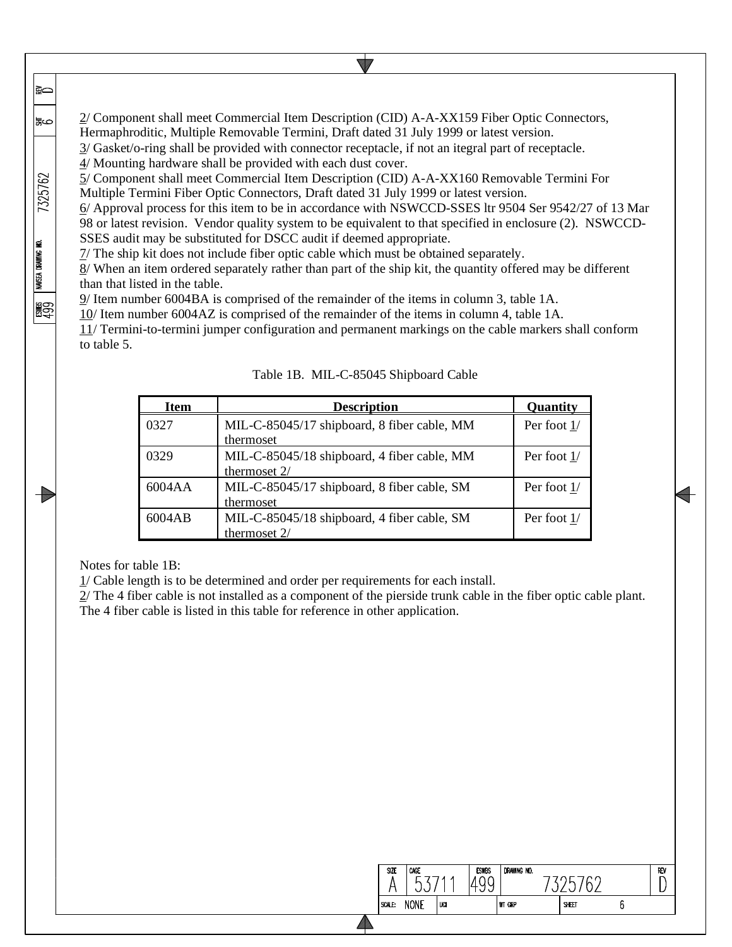2/ Component shall meet Commercial Item Description (CID) A-A-XX159 Fiber Optic Connectors, Hermaphroditic, Multiple Removable Termini, Draft dated 31 July 1999 or latest version.

3/ Gasket/o-ring shall be provided with connector receptacle, if not an itegral part of receptacle.

4/ Mounting hardware shall be provided with each dust cover.

5/ Component shall meet Commercial Item Description (CID) A-A-XX160 Removable Termini For Multiple Termini Fiber Optic Connectors, Draft dated 31 July 1999 or latest version.

6/ Approval process for this item to be in accordance with NSWCCD-SSES ltr 9504 Ser 9542/27 of 13 Mar 98 or latest revision. Vendor quality system to be equivalent to that specified in enclosure (2). NSWCCD-SSES audit may be substituted for DSCC audit if deemed appropriate.

7/ The ship kit does not include fiber optic cable which must be obtained separately.

8/ When an item ordered separately rather than part of the ship kit, the quantity offered may be different than that listed in the table.

9/ Item number 6004BA is comprised of the remainder of the items in column 3, table 1A.

10/ Item number 6004AZ is comprised of the remainder of the items in column 4, table 1A.

11/ Termini-to-termini jumper configuration and permanent markings on the cable markers shall conform to table 5.

| <b>Item</b> | <b>Description</b>                                            | <b>Ouantity</b> |
|-------------|---------------------------------------------------------------|-----------------|
| 0327        | MIL-C-85045/17 shipboard, 8 fiber cable, MM<br>thermoset      | Per foot 1/     |
| 0329        | MIL-C-85045/18 shipboard, 4 fiber cable, MM<br>thermoset 2/   | Per foot 1/     |
| 6004AA      | MIL-C-85045/17 shipboard, 8 fiber cable, SM<br>thermoset      | Per foot 1/     |
| 6004AB      | MIL-C-85045/18 shipboard, 4 fiber cable, SM<br>thermoset $2/$ | Per foot 1/     |

Table 1B. MIL-C-85045 Shipboard Cable

Notes for table 1B:

।≩⇔

ಹಲ

7325762

NAVSEA DRAWING NO.

**REA** 

T

1/ Cable length is to be determined and order per requirements for each install.

2/ The 4 fiber cable is not installed as a component of the pierside trunk cable in the fiber optic cable plant. The 4 fiber cable is listed in this table for reference in other application.

| SIZE   | CAGE<br>∽   |     | <b>ESWBS</b> | DRAWING NO.   |       |  | REV |
|--------|-------------|-----|--------------|---------------|-------|--|-----|
| SCALE: | <b>NONE</b> | UCI |              | <b>WT GRP</b> | SHEET |  |     |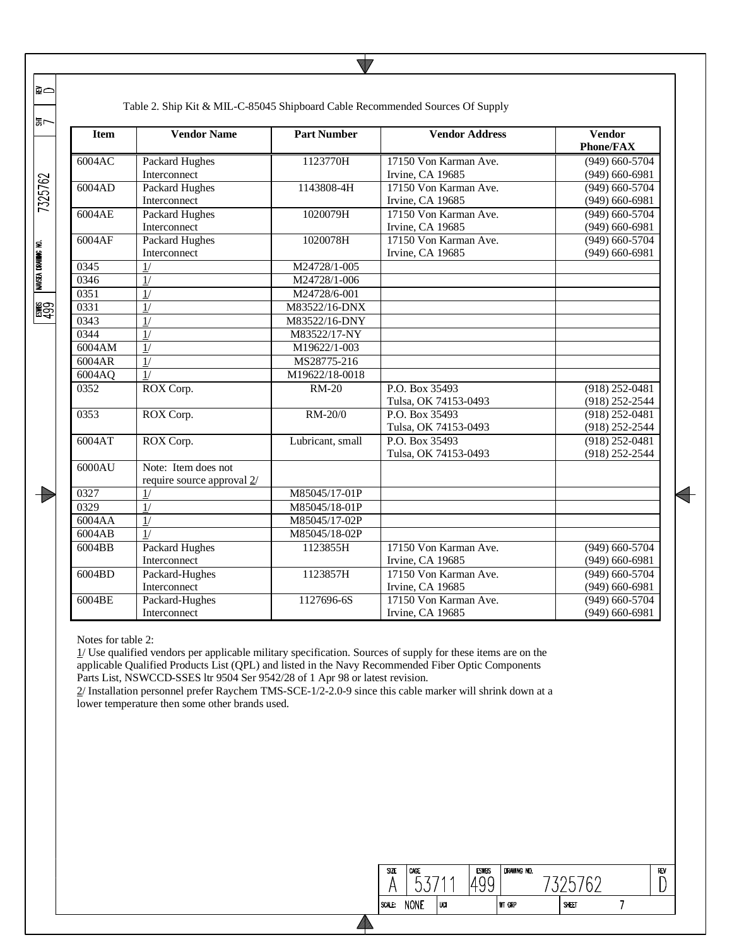| ⊋⇔                        |             | Table 2. Ship Kit & MIL-C-85045 Shipboard Cable Recommended Sources Of Supply |                    |                       |                                   |
|---------------------------|-------------|-------------------------------------------------------------------------------|--------------------|-----------------------|-----------------------------------|
| ≌∽                        | <b>Item</b> | <b>Vendor Name</b>                                                            | <b>Part Number</b> | <b>Vendor Address</b> | <b>Vendor</b><br><b>Phone/FAX</b> |
|                           | 6004AC      | Packard Hughes                                                                | 1123770H           | 17150 Von Karman Ave. | $(949)$ 660-5704                  |
|                           |             | Interconnect                                                                  |                    | Irvine, CA 19685      | $(949) 660 - 6981$                |
| 7325762                   | 6004AD      | <b>Packard Hughes</b>                                                         | 1143808-4H         | 17150 Von Karman Ave. | $(949)$ 660-5704                  |
|                           |             | Interconnect                                                                  |                    | Irvine, CA 19685      | $(949)$ 660-6981                  |
|                           | 6004AE      | <b>Packard Hughes</b>                                                         | 1020079H           | 17150 Von Karman Ave. | $(949)$ 660-5704                  |
|                           |             | Interconnect                                                                  |                    | Irvine, CA 19685      | $(949)$ 660-6981                  |
|                           | 6004AF      | Packard Hughes                                                                | 1020078H           | 17150 Von Karman Ave. | $(949)$ 660-5704                  |
|                           |             | Interconnect                                                                  |                    | Irvine, CA 19685      | $(949)$ 660-6981                  |
|                           | 0345        | 1/                                                                            | M24728/1-005       |                       |                                   |
| <b>NAVSEA DRAWING NO.</b> | 0346        | 1/                                                                            | M24728/1-006       |                       |                                   |
|                           | 0351        | 1/                                                                            | M24728/6-001       |                       |                                   |
| 腎                         | 0331        | 1/                                                                            | M83522/16-DNX      |                       |                                   |
|                           | 0343        | $\overline{1/}$                                                               | M83522/16-DNY      |                       |                                   |
|                           | 0344        | 1/                                                                            | M83522/17-NY       |                       |                                   |
|                           | 6004AM      | 1/                                                                            | M19622/1-003       |                       |                                   |
|                           | 6004AR      | $\overline{1/}$                                                               | MS28775-216        |                       |                                   |
|                           | 6004AQ      | $\overline{1/}$                                                               | M19622/18-0018     |                       |                                   |
|                           | 0352        | ROX Corp.                                                                     | <b>RM-20</b>       | P.O. Box 35493        | $(918)$ 252-0481                  |
|                           |             |                                                                               |                    | Tulsa, OK 74153-0493  | (918) 252-2544                    |
|                           | 0353        | ROX Corp.                                                                     | RM-20/0            | P.O. Box 35493        | $(918)$ 252-0481                  |
|                           |             |                                                                               |                    | Tulsa, OK 74153-0493  | $(918)$ 252-2544                  |
|                           | 6004AT      | ROX Corp.                                                                     | Lubricant, small   | P.O. Box 35493        | $(918)$ 252-0481                  |
|                           |             |                                                                               |                    | Tulsa, OK 74153-0493  | $(918)$ 252-2544                  |
|                           | 6000AU      | Note: Item does not                                                           |                    |                       |                                   |
|                           |             | require source approval 2/                                                    |                    |                       |                                   |
|                           | 0327        | 1/                                                                            | M85045/17-01P      |                       |                                   |
|                           | 0329        | $\overline{1/}$                                                               | M85045/18-01P      |                       |                                   |
|                           | 6004AA      | $\overline{1/}$                                                               | M85045/17-02P      |                       |                                   |
|                           | 6004AB      | 1/                                                                            | M85045/18-02P      |                       |                                   |
|                           | 6004BB      | <b>Packard Hughes</b>                                                         | 1123855H           | 17150 Von Karman Ave. | $(949)$ 660-5704                  |
|                           |             | Interconnect                                                                  |                    | Irvine, CA 19685      | $(949)$ 660-6981                  |
|                           | 6004BD      | Packard-Hughes                                                                | 1123857H           | 17150 Von Karman Ave. | $(949)$ 660-5704                  |
|                           |             | Interconnect                                                                  |                    | Irvine, CA 19685      | $(949) 660 - 6981$                |
|                           | 6004BE      | Packard-Hughes                                                                | 1127696-6S         | 17150 Von Karman Ave. | $(949)$ 660-5704                  |
|                           |             | Interconnect                                                                  |                    | Irvine, CA 19685      | $(949)$ 660-6981                  |

Notes for table 2:

1/ Use qualified vendors per applicable military specification. Sources of supply for these items are on the applicable Qualified Products List (QPL) and listed in the Navy Recommended Fiber Optic Components Parts List, NSWCCD-SSES ltr 9504 Ser 9542/28 of 1 Apr 98 or latest revision.

2/ Installation personnel prefer Raychem TMS-SCE-1/2-2.0-9 since this cable marker will shrink down at a lower temperature then some other brands used.

◢

| SZE    | CAGE<br>r   |     | <b>ESWBS</b> | DRAWING NO.   |       | REV |
|--------|-------------|-----|--------------|---------------|-------|-----|
| SCALE: | <b>NONE</b> | UCI |              | <b>WT GRP</b> | SHEET |     |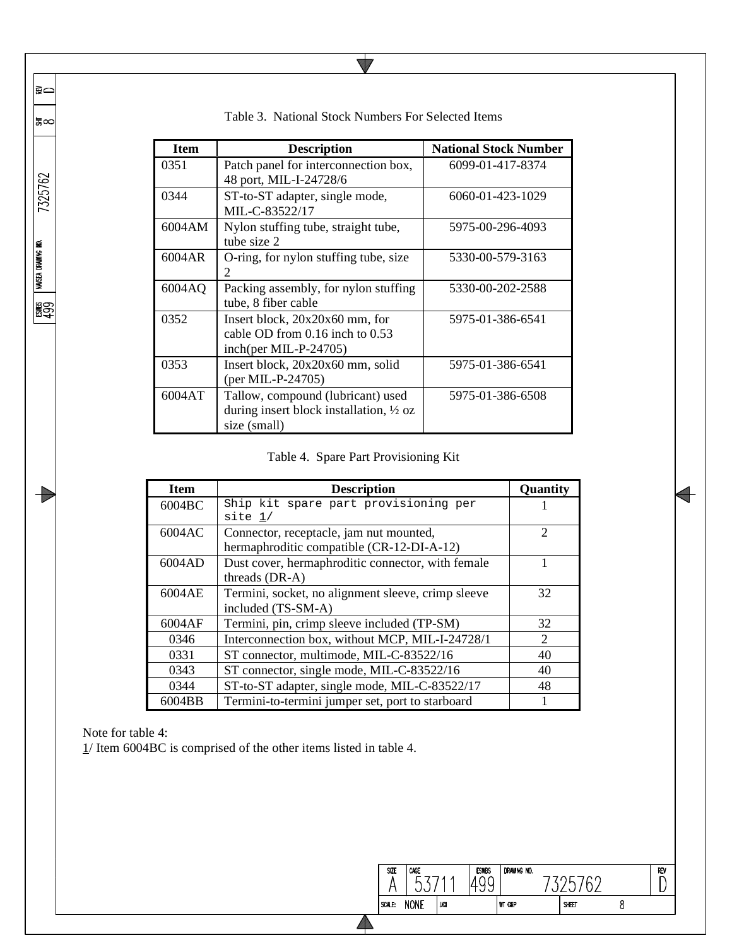| <b>Item</b> | <b>Description</b>                                                                                      | <b>National Stock Number</b> |
|-------------|---------------------------------------------------------------------------------------------------------|------------------------------|
| 0351        | Patch panel for interconnection box,<br>48 port, MIL-I-24728/6                                          | 6099-01-417-8374             |
| 0344        | ST-to-ST adapter, single mode,<br>MIL-C-83522/17                                                        | 6060-01-423-1029             |
| 6004AM      | Nylon stuffing tube, straight tube,<br>tube size 2                                                      | 5975-00-296-4093             |
| 6004AR      | O-ring, for nylon stuffing tube, size<br>$\mathcal{D}_{\mathcal{L}}$                                    | 5330-00-579-3163             |
| 6004AQ      | Packing assembly, for nylon stuffing<br>tube, 8 fiber cable                                             | 5330-00-202-2588             |
| 0352        | Insert block, $20x20x60$ mm, for<br>cable OD from 0.16 inch to 0.53<br>inch(per MIL-P-24705)            | 5975-01-386-6541             |
| 0353        | Insert block, 20x20x60 mm, solid<br>$(\text{per MIL-P-24705})$                                          | 5975-01-386-6541             |
| 6004AT      | Tallow, compound (lubricant) used<br>during insert block installation, $\frac{1}{2}$ oz<br>size (small) | 5975-01-386-6508             |

Table 3. National Stock Numbers For Selected Items

 $\blacktriangledown$ 

## Table 4. Spare Part Provisioning Kit

| <b>Item</b> | <b>Description</b>                                 | Quantity                    |
|-------------|----------------------------------------------------|-----------------------------|
| 6004BC      | Ship kit spare part provisioning per               |                             |
|             | site 1/                                            |                             |
| 6004AC      | Connector, receptacle, jam nut mounted,            | $\overline{c}$              |
|             | hermaphroditic compatible (CR-12-DI-A-12)          |                             |
| 6004AD      | Dust cover, hermaphroditic connector, with female  |                             |
|             | threads (DR-A)                                     |                             |
| 6004AE      | Termini, socket, no alignment sleeve, crimp sleeve | 32                          |
|             | included (TS-SM-A)                                 |                             |
| 6004AF      | Termini, pin, crimp sleeve included (TP-SM)        | 32                          |
| 0346        | Interconnection box, without MCP, MIL-I-24728/1    | $\mathcal{D}_{\mathcal{L}}$ |
| 0331        | ST connector, multimode, MIL-C-83522/16            | 40                          |
| 0343        | ST connector, single mode, MIL-C-83522/16          | 40                          |
| 0344        | ST-to-ST adapter, single mode, MIL-C-83522/17      | 48                          |
| 6004BB      | Termini-to-termini jumper set, port to starboard   |                             |

 $\Delta$ 

Note for table 4:

∣≩⇔

|≌∞

7325762

eswes | navsea drawing no.<br>499

 $\Rightarrow$ 

1/ Item 6004BC is comprised of the other items listed in table 4.

| <b>SIZE</b> | CAGE<br>∽   |     | <b>ESWBS</b> | DRAWING NO.   |       |  |
|-------------|-------------|-----|--------------|---------------|-------|--|
| SCALE:      | <b>NONE</b> | UCI |              | <b>WT GRP</b> | SHEET |  |
|             |             |     |              |               |       |  |

 $\overline{\phantom{0}}$ 

 $\begin{array}{c}\n\hline\n\text{REV}\n\\
\hline\n\end{array}$